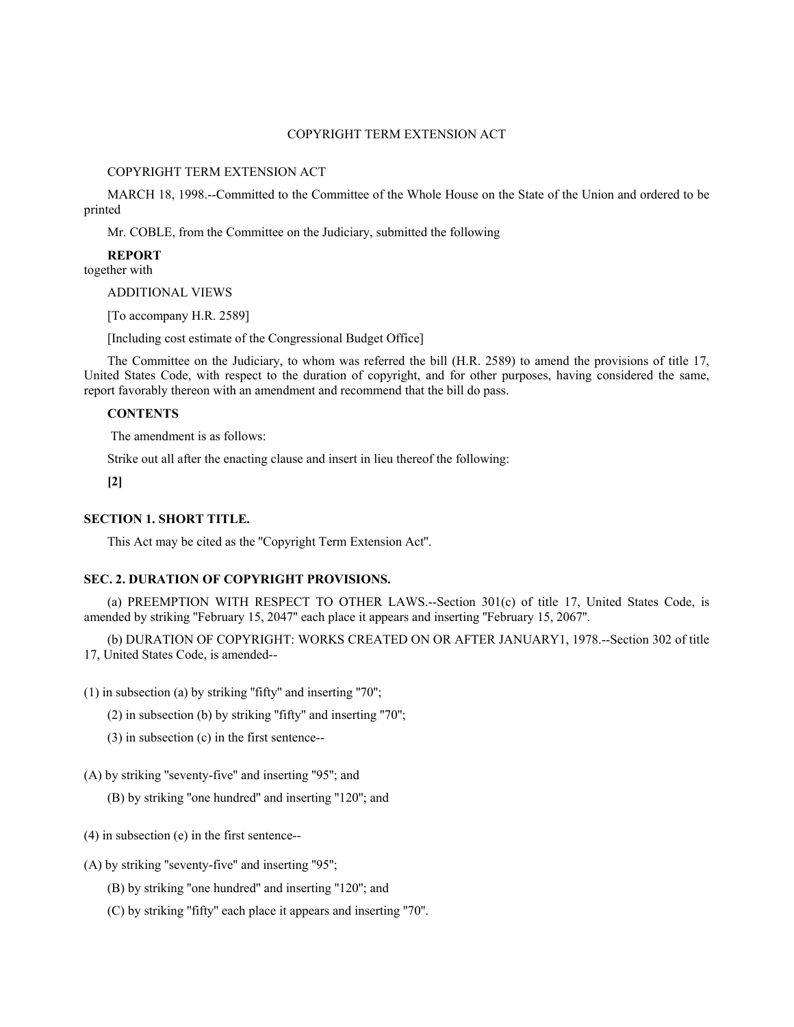# COPYRIGHT TERM EXTENSION ACT

### COPYRIGHT TERM EXTENSION ACT

MARCH 18, 1998.--Committed to the Committee of the Whole House on the State of the Union and ordered to be printed

Mr. COBLE, from the Committee on the Judiciary, submitted the following

**REPORT**

together with

ADDITIONAL VIEWS

[To accompany H.R. 2589]

[Including cost estimate of the Congressional Budget Office]

The Committee on the Judiciary, to whom was referred the bill (H.R. 2589) to amend the provisions of title 17, United States Code, with respect to the duration of copyright, and for other purposes, having considered the same, report favorably thereon with an amendment and recommend that the bill do pass.

# **CONTENTS**

The amendment is as follows:

Strike out all after the enacting clause and insert in lieu thereof the following:

**[2]**

# **SECTION 1. SHORT TITLE.**

This Act may be cited as the ''Copyright Term Extension Act''.

## **SEC. 2. DURATION OF COPYRIGHT PROVISIONS.**

(a) PREEMPTION WITH RESPECT TO OTHER LAWS.--Section 301(c) of title 17, United States Code, is amended by striking "February 15, 2047" each place it appears and inserting "February 15, 2067".

(b) DURATION OF COPYRIGHT: WORKS CREATED ON OR AFTER JANUARY1, 1978.--Section 302 of title 17, United States Code, is amended--

(1) in subsection (a) by striking "fifty" and inserting "70";

(2) in subsection (b) by striking ''fifty'' and inserting ''70'';

(3) in subsection (c) in the first sentence--

(A) by striking ''seventy-five'' and inserting ''95''; and

(B) by striking ''one hundred'' and inserting ''120''; and

(4) in subsection (e) in the first sentence--

(A) by striking ''seventy-five'' and inserting ''95'';

(B) by striking ''one hundred'' and inserting ''120''; and

(C) by striking ''fifty'' each place it appears and inserting ''70''.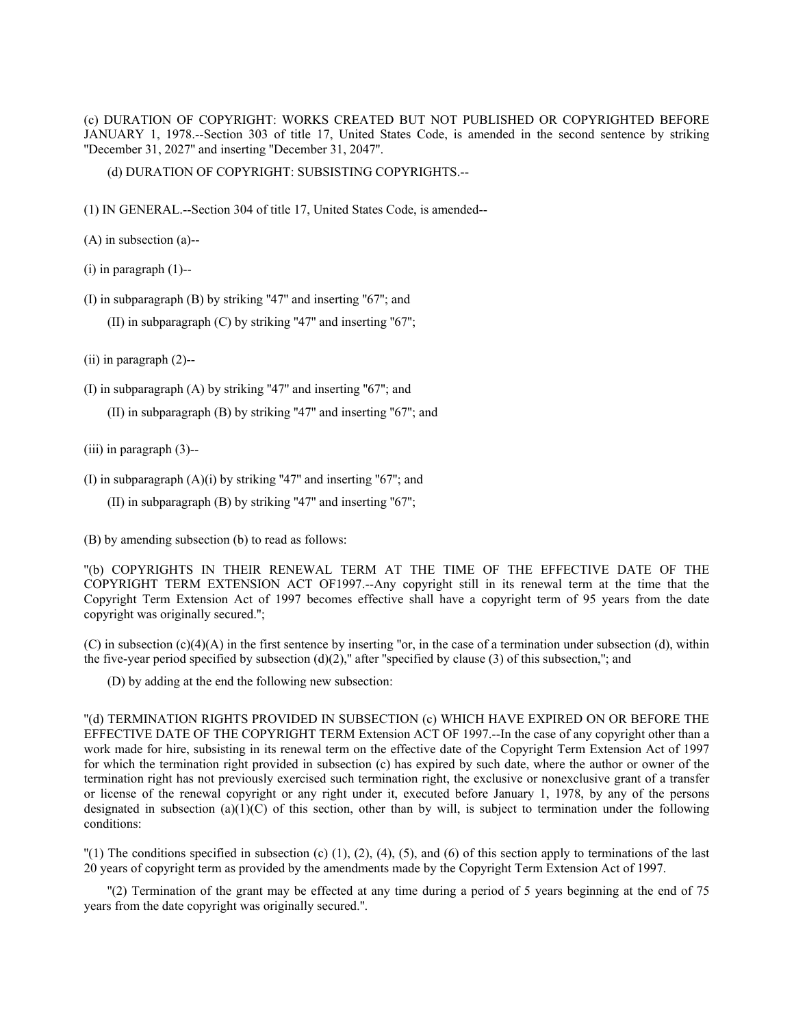(c) DURATION OF COPYRIGHT: WORKS CREATED BUT NOT PUBLISHED OR COPYRIGHTED BEFORE JANUARY 1, 1978.--Section 303 of title 17, United States Code, is amended in the second sentence by striking ''December 31, 2027'' and inserting ''December 31, 2047''.

(d) DURATION OF COPYRIGHT: SUBSISTING COPYRIGHTS.--

(1) IN GENERAL.--Section 304 of title 17, United States Code, is amended--

(A) in subsection (a)--

(i) in paragraph (1)--

(I) in subparagraph (B) by striking ''47'' and inserting ''67''; and

(II) in subparagraph  $(C)$  by striking "47" and inserting "67";

(ii) in paragraph (2)--

(I) in subparagraph  $(A)$  by striking "47" and inserting "67"; and

(II) in subparagraph (B) by striking ''47'' and inserting ''67''; and

(iii) in paragraph (3)--

(I) in subparagraph  $(A)(i)$  by striking "47" and inserting "67"; and

(II) in subparagraph  $(B)$  by striking "47" and inserting "67";

(B) by amending subsection (b) to read as follows:

''(b) COPYRIGHTS IN THEIR RENEWAL TERM AT THE TIME OF THE EFFECTIVE DATE OF THE COPYRIGHT TERM EXTENSION ACT OF1997.--Any copyright still in its renewal term at the time that the Copyright Term Extension Act of 1997 becomes effective shall have a copyright term of 95 years from the date copyright was originally secured.'';

 $(C)$  in subsection  $(c)(4)(A)$  in the first sentence by inserting "or, in the case of a termination under subsection (d), within the five-year period specified by subsection (d)(2)," after "specified by clause (3) of this subsection,"; and

(D) by adding at the end the following new subsection:

''(d) TERMINATION RIGHTS PROVIDED IN SUBSECTION (c) WHICH HAVE EXPIRED ON OR BEFORE THE EFFECTIVE DATE OF THE COPYRIGHT TERM Extension ACT OF 1997.--In the case of any copyright other than a work made for hire, subsisting in its renewal term on the effective date of the Copyright Term Extension Act of 1997 for which the termination right provided in subsection (c) has expired by such date, where the author or owner of the termination right has not previously exercised such termination right, the exclusive or nonexclusive grant of a transfer or license of the renewal copyright or any right under it, executed before January 1, 1978, by any of the persons designated in subsection (a)(1)(C) of this section, other than by will, is subject to termination under the following conditions:

 $\Gamma(1)$  The conditions specified in subsection (c) (1), (2), (4), (5), and (6) of this section apply to terminations of the last 20 years of copyright term as provided by the amendments made by the Copyright Term Extension Act of 1997.

''(2) Termination of the grant may be effected at any time during a period of 5 years beginning at the end of 75 years from the date copyright was originally secured.''.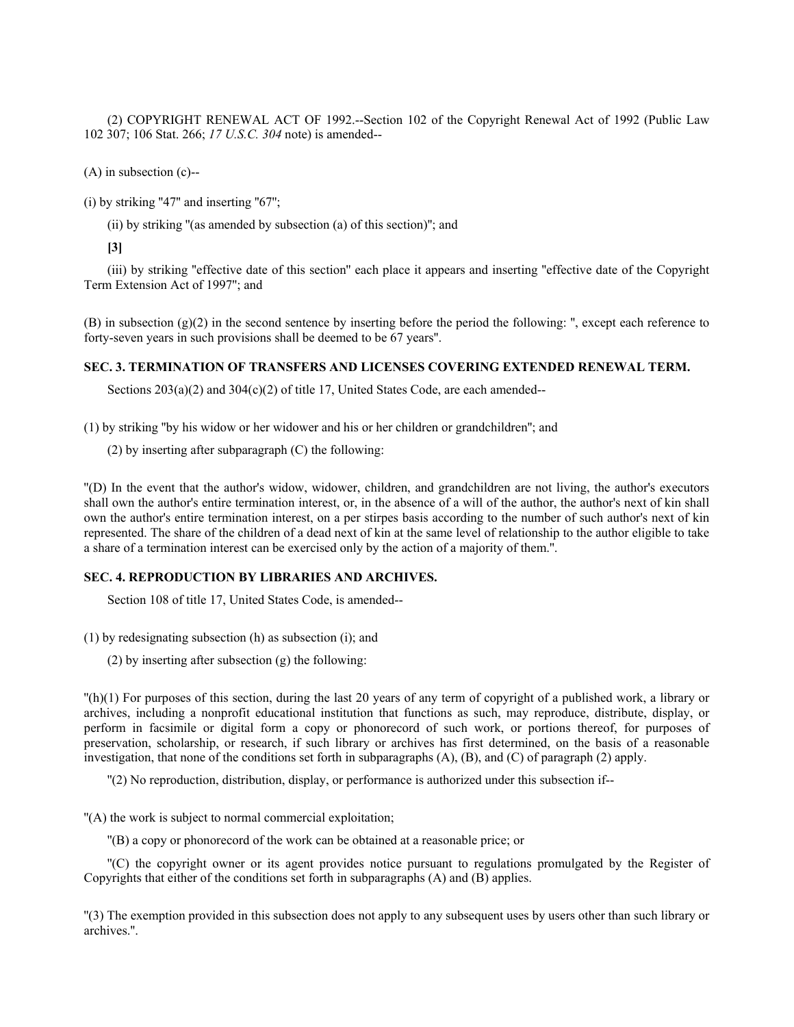(2) COPYRIGHT RENEWAL ACT OF 1992.--Section 102 of the Copyright Renewal Act of 1992 (Public Law 102 307; 106 Stat. 266; *17 U.S.C. 304* note) is amended--

(A) in subsection (c)--

(i) by striking "47" and inserting "67";

(ii) by striking ''(as amended by subsection (a) of this section)''; and

**[3]**

(iii) by striking ''effective date of this section'' each place it appears and inserting ''effective date of the Copyright Term Extension Act of 1997''; and

(B) in subsection  $(g)(2)$  in the second sentence by inserting before the period the following: ", except each reference to forty-seven years in such provisions shall be deemed to be 67 years''.

## **SEC. 3. TERMINATION OF TRANSFERS AND LICENSES COVERING EXTENDED RENEWAL TERM.**

Sections  $203(a)(2)$  and  $304(c)(2)$  of title 17, United States Code, are each amended--

(1) by striking ''by his widow or her widower and his or her children or grandchildren''; and

(2) by inserting after subparagraph (C) the following:

''(D) In the event that the author's widow, widower, children, and grandchildren are not living, the author's executors shall own the author's entire termination interest, or, in the absence of a will of the author, the author's next of kin shall own the author's entire termination interest, on a per stirpes basis according to the number of such author's next of kin represented. The share of the children of a dead next of kin at the same level of relationship to the author eligible to take a share of a termination interest can be exercised only by the action of a majority of them.''.

# **SEC. 4. REPRODUCTION BY LIBRARIES AND ARCHIVES.**

Section 108 of title 17, United States Code, is amended--

(1) by redesignating subsection (h) as subsection (i); and

(2) by inserting after subsection (g) the following:

 $\Gamma(h)(1)$  For purposes of this section, during the last 20 years of any term of copyright of a published work, a library or archives, including a nonprofit educational institution that functions as such, may reproduce, distribute, display, or perform in facsimile or digital form a copy or phonorecord of such work, or portions thereof, for purposes of preservation, scholarship, or research, if such library or archives has first determined, on the basis of a reasonable investigation, that none of the conditions set forth in subparagraphs (A), (B), and (C) of paragraph (2) apply.

''(2) No reproduction, distribution, display, or performance is authorized under this subsection if--

''(A) the work is subject to normal commercial exploitation;

''(B) a copy or phonorecord of the work can be obtained at a reasonable price; or

''(C) the copyright owner or its agent provides notice pursuant to regulations promulgated by the Register of Copyrights that either of the conditions set forth in subparagraphs (A) and (B) applies.

''(3) The exemption provided in this subsection does not apply to any subsequent uses by users other than such library or archives.''.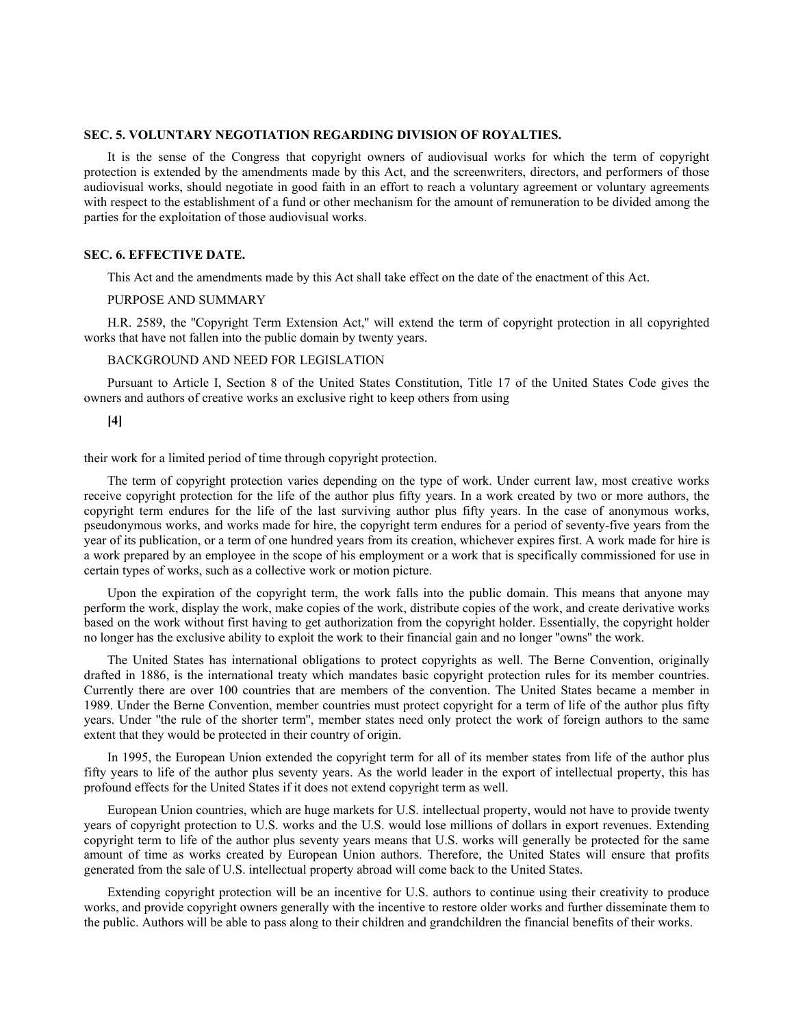## **SEC. 5. VOLUNTARY NEGOTIATION REGARDING DIVISION OF ROYALTIES.**

It is the sense of the Congress that copyright owners of audiovisual works for which the term of copyright protection is extended by the amendments made by this Act, and the screenwriters, directors, and performers of those audiovisual works, should negotiate in good faith in an effort to reach a voluntary agreement or voluntary agreements with respect to the establishment of a fund or other mechanism for the amount of remuneration to be divided among the parties for the exploitation of those audiovisual works.

### **SEC. 6. EFFECTIVE DATE.**

This Act and the amendments made by this Act shall take effect on the date of the enactment of this Act.

#### PURPOSE AND SUMMARY

H.R. 2589, the ''Copyright Term Extension Act,'' will extend the term of copyright protection in all copyrighted works that have not fallen into the public domain by twenty years.

## BACKGROUND AND NEED FOR LEGISLATION

Pursuant to Article I, Section 8 of the United States Constitution, Title 17 of the United States Code gives the owners and authors of creative works an exclusive right to keep others from using

**[4]**

their work for a limited period of time through copyright protection.

The term of copyright protection varies depending on the type of work. Under current law, most creative works receive copyright protection for the life of the author plus fifty years. In a work created by two or more authors, the copyright term endures for the life of the last surviving author plus fifty years. In the case of anonymous works, pseudonymous works, and works made for hire, the copyright term endures for a period of seventy-five years from the year of its publication, or a term of one hundred years from its creation, whichever expires first. A work made for hire is a work prepared by an employee in the scope of his employment or a work that is specifically commissioned for use in certain types of works, such as a collective work or motion picture.

Upon the expiration of the copyright term, the work falls into the public domain. This means that anyone may perform the work, display the work, make copies of the work, distribute copies of the work, and create derivative works based on the work without first having to get authorization from the copyright holder. Essentially, the copyright holder no longer has the exclusive ability to exploit the work to their financial gain and no longer ''owns'' the work.

The United States has international obligations to protect copyrights as well. The Berne Convention, originally drafted in 1886, is the international treaty which mandates basic copyright protection rules for its member countries. Currently there are over 100 countries that are members of the convention. The United States became a member in 1989. Under the Berne Convention, member countries must protect copyright for a term of life of the author plus fifty years. Under ''the rule of the shorter term'', member states need only protect the work of foreign authors to the same extent that they would be protected in their country of origin.

In 1995, the European Union extended the copyright term for all of its member states from life of the author plus fifty years to life of the author plus seventy years. As the world leader in the export of intellectual property, this has profound effects for the United States if it does not extend copyright term as well.

European Union countries, which are huge markets for U.S. intellectual property, would not have to provide twenty years of copyright protection to U.S. works and the U.S. would lose millions of dollars in export revenues. Extending copyright term to life of the author plus seventy years means that U.S. works will generally be protected for the same amount of time as works created by European Union authors. Therefore, the United States will ensure that profits generated from the sale of U.S. intellectual property abroad will come back to the United States.

Extending copyright protection will be an incentive for U.S. authors to continue using their creativity to produce works, and provide copyright owners generally with the incentive to restore older works and further disseminate them to the public. Authors will be able to pass along to their children and grandchildren the financial benefits of their works.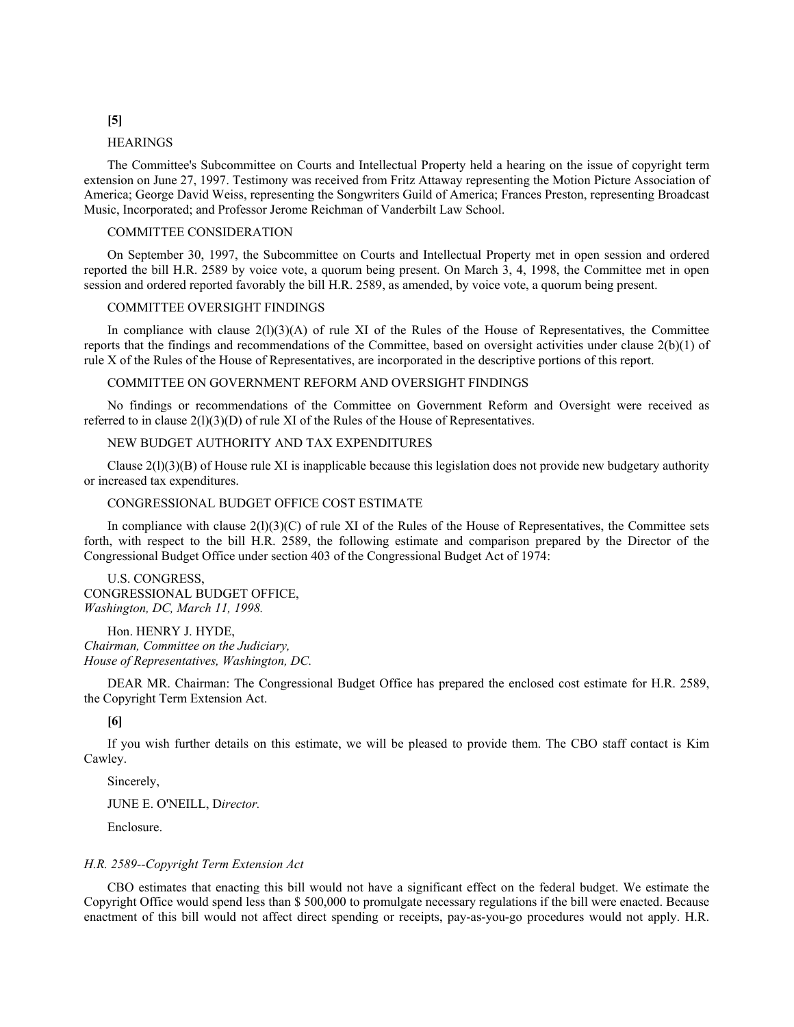# **[5]**

# **HEARINGS**

The Committee's Subcommittee on Courts and Intellectual Property held a hearing on the issue of copyright term extension on June 27, 1997. Testimony was received from Fritz Attaway representing the Motion Picture Association of America; George David Weiss, representing the Songwriters Guild of America; Frances Preston, representing Broadcast Music, Incorporated; and Professor Jerome Reichman of Vanderbilt Law School.

### COMMITTEE CONSIDERATION

On September 30, 1997, the Subcommittee on Courts and Intellectual Property met in open session and ordered reported the bill H.R. 2589 by voice vote, a quorum being present. On March 3, 4, 1998, the Committee met in open session and ordered reported favorably the bill H.R. 2589, as amended, by voice vote, a quorum being present.

### COMMITTEE OVERSIGHT FINDINGS

In compliance with clause  $2(1)(3)(A)$  of rule XI of the Rules of the House of Representatives, the Committee reports that the findings and recommendations of the Committee, based on oversight activities under clause 2(b)(1) of rule X of the Rules of the House of Representatives, are incorporated in the descriptive portions of this report.

### COMMITTEE ON GOVERNMENT REFORM AND OVERSIGHT FINDINGS

No findings or recommendations of the Committee on Government Reform and Oversight were received as referred to in clause 2(l)(3)(D) of rule XI of the Rules of the House of Representatives.

### NEW BUDGET AUTHORITY AND TAX EXPENDITURES

Clause 2(l)(3)(B) of House rule XI is inapplicable because this legislation does not provide new budgetary authority or increased tax expenditures.

## CONGRESSIONAL BUDGET OFFICE COST ESTIMATE

In compliance with clause  $2(1)(3)(C)$  of rule XI of the Rules of the House of Representatives, the Committee sets forth, with respect to the bill H.R. 2589, the following estimate and comparison prepared by the Director of the Congressional Budget Office under section 403 of the Congressional Budget Act of 1974:

U.S. CONGRESS, CONGRESSIONAL BUDGET OFFICE, *Washington, DC, March 11, 1998.*

Hon. HENRY J. HYDE, *Chairman, Committee on the Judiciary, House of Representatives, Washington, DC.*

DEAR MR. Chairman: The Congressional Budget Office has prepared the enclosed cost estimate for H.R. 2589, the Copyright Term Extension Act.

## **[6]**

If you wish further details on this estimate, we will be pleased to provide them. The CBO staff contact is Kim Cawley.

Sincerely,

JUNE E. O'NEILL, D*irector.*

Enclosure.

## *H.R. 2589--Copyright Term Extension Act*

CBO estimates that enacting this bill would not have a significant effect on the federal budget. We estimate the Copyright Office would spend less than \$ 500,000 to promulgate necessary regulations if the bill were enacted. Because enactment of this bill would not affect direct spending or receipts, pay-as-you-go procedures would not apply. H.R.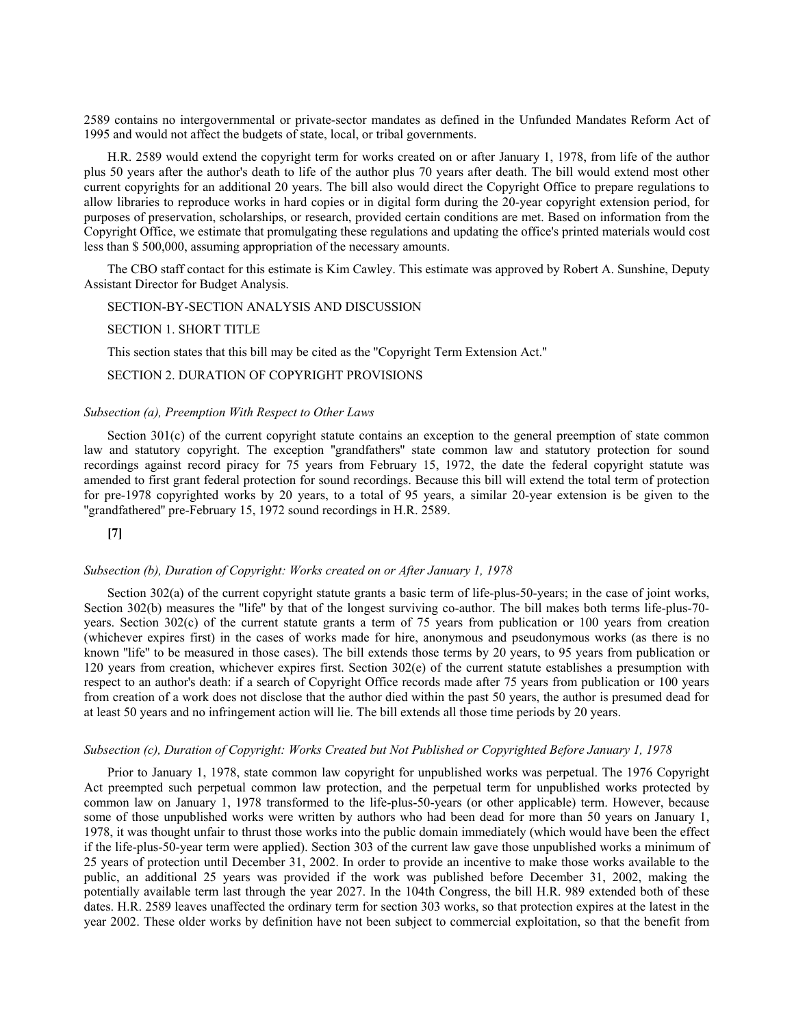2589 contains no intergovernmental or private-sector mandates as defined in the Unfunded Mandates Reform Act of 1995 and would not affect the budgets of state, local, or tribal governments.

H.R. 2589 would extend the copyright term for works created on or after January 1, 1978, from life of the author plus 50 years after the author's death to life of the author plus 70 years after death. The bill would extend most other current copyrights for an additional 20 years. The bill also would direct the Copyright Office to prepare regulations to allow libraries to reproduce works in hard copies or in digital form during the 20-year copyright extension period, for purposes of preservation, scholarships, or research, provided certain conditions are met. Based on information from the Copyright Office, we estimate that promulgating these regulations and updating the office's printed materials would cost less than \$ 500,000, assuming appropriation of the necessary amounts.

The CBO staff contact for this estimate is Kim Cawley. This estimate was approved by Robert A. Sunshine, Deputy Assistant Director for Budget Analysis.

### SECTION-BY-SECTION ANALYSIS AND DISCUSSION

## SECTION 1. SHORT TITLE

This section states that this bill may be cited as the ''Copyright Term Extension Act.''

# SECTION 2. DURATION OF COPYRIGHT PROVISIONS

### *Subsection (a), Preemption With Respect to Other Laws*

Section 301(c) of the current copyright statute contains an exception to the general preemption of state common law and statutory copyright. The exception "grandfathers" state common law and statutory protection for sound recordings against record piracy for 75 years from February 15, 1972, the date the federal copyright statute was amended to first grant federal protection for sound recordings. Because this bill will extend the total term of protection for pre-1978 copyrighted works by 20 years, to a total of 95 years, a similar 20-year extension is be given to the "grandfathered" pre-February 15, 1972 sound recordings in H.R. 2589.

# **[7]**

## *Subsection (b), Duration of Copyright: Works created on or After January 1, 1978*

Section 302(a) of the current copyright statute grants a basic term of life-plus-50-years; in the case of joint works, Section 302(b) measures the ''life'' by that of the longest surviving co-author. The bill makes both terms life-plus-70 years. Section 302(c) of the current statute grants a term of 75 years from publication or 100 years from creation (whichever expires first) in the cases of works made for hire, anonymous and pseudonymous works (as there is no known ''life'' to be measured in those cases). The bill extends those terms by 20 years, to 95 years from publication or 120 years from creation, whichever expires first. Section 302(e) of the current statute establishes a presumption with respect to an author's death: if a search of Copyright Office records made after 75 years from publication or 100 years from creation of a work does not disclose that the author died within the past 50 years, the author is presumed dead for at least 50 years and no infringement action will lie. The bill extends all those time periods by 20 years.

### *Subsection (c), Duration of Copyright: Works Created but Not Published or Copyrighted Before January 1, 1978*

Prior to January 1, 1978, state common law copyright for unpublished works was perpetual. The 1976 Copyright Act preempted such perpetual common law protection, and the perpetual term for unpublished works protected by common law on January 1, 1978 transformed to the life-plus-50-years (or other applicable) term. However, because some of those unpublished works were written by authors who had been dead for more than 50 years on January 1, 1978, it was thought unfair to thrust those works into the public domain immediately (which would have been the effect if the life-plus-50-year term were applied). Section 303 of the current law gave those unpublished works a minimum of 25 years of protection until December 31, 2002. In order to provide an incentive to make those works available to the public, an additional 25 years was provided if the work was published before December 31, 2002, making the potentially available term last through the year 2027. In the 104th Congress, the bill H.R. 989 extended both of these dates. H.R. 2589 leaves unaffected the ordinary term for section 303 works, so that protection expires at the latest in the year 2002. These older works by definition have not been subject to commercial exploitation, so that the benefit from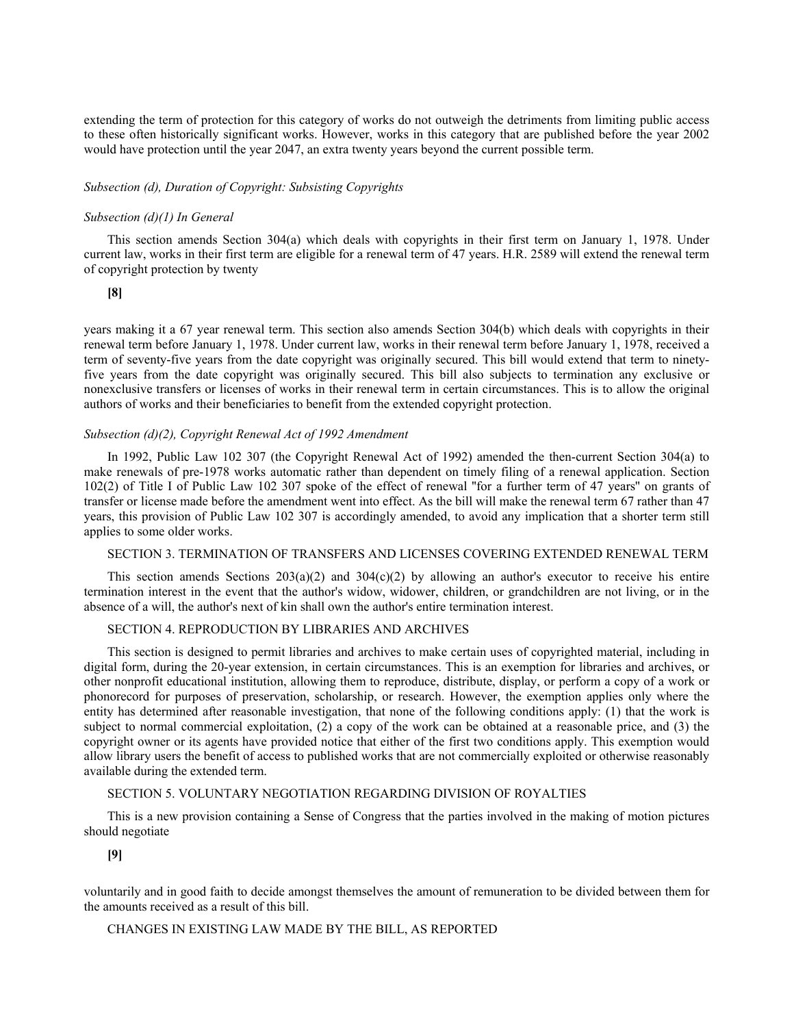extending the term of protection for this category of works do not outweigh the detriments from limiting public access to these often historically significant works. However, works in this category that are published before the year 2002 would have protection until the year 2047, an extra twenty years beyond the current possible term.

### *Subsection (d), Duration of Copyright: Subsisting Copyrights*

#### *Subsection (d)(1) In General*

This section amends Section 304(a) which deals with copyrights in their first term on January 1, 1978. Under current law, works in their first term are eligible for a renewal term of 47 years. H.R. 2589 will extend the renewal term of copyright protection by twenty

**[8]**

years making it a 67 year renewal term. This section also amends Section 304(b) which deals with copyrights in their renewal term before January 1, 1978. Under current law, works in their renewal term before January 1, 1978, received a term of seventy-five years from the date copyright was originally secured. This bill would extend that term to ninetyfive years from the date copyright was originally secured. This bill also subjects to termination any exclusive or nonexclusive transfers or licenses of works in their renewal term in certain circumstances. This is to allow the original authors of works and their beneficiaries to benefit from the extended copyright protection.

## *Subsection (d)(2), Copyright Renewal Act of 1992 Amendment*

In 1992, Public Law 102 307 (the Copyright Renewal Act of 1992) amended the then-current Section 304(a) to make renewals of pre-1978 works automatic rather than dependent on timely filing of a renewal application. Section 102(2) of Title I of Public Law 102 307 spoke of the effect of renewal ''for a further term of 47 years'' on grants of transfer or license made before the amendment went into effect. As the bill will make the renewal term 67 rather than 47 years, this provision of Public Law 102 307 is accordingly amended, to avoid any implication that a shorter term still applies to some older works.

### SECTION 3. TERMINATION OF TRANSFERS AND LICENSES COVERING EXTENDED RENEWAL TERM

This section amends Sections  $203(a)(2)$  and  $304(c)(2)$  by allowing an author's executor to receive his entire termination interest in the event that the author's widow, widower, children, or grandchildren are not living, or in the absence of a will, the author's next of kin shall own the author's entire termination interest.

### SECTION 4. REPRODUCTION BY LIBRARIES AND ARCHIVES

This section is designed to permit libraries and archives to make certain uses of copyrighted material, including in digital form, during the 20-year extension, in certain circumstances. This is an exemption for libraries and archives, or other nonprofit educational institution, allowing them to reproduce, distribute, display, or perform a copy of a work or phonorecord for purposes of preservation, scholarship, or research. However, the exemption applies only where the entity has determined after reasonable investigation, that none of the following conditions apply: (1) that the work is subject to normal commercial exploitation, (2) a copy of the work can be obtained at a reasonable price, and (3) the copyright owner or its agents have provided notice that either of the first two conditions apply. This exemption would allow library users the benefit of access to published works that are not commercially exploited or otherwise reasonably available during the extended term.

#### SECTION 5. VOLUNTARY NEGOTIATION REGARDING DIVISION OF ROYALTIES

This is a new provision containing a Sense of Congress that the parties involved in the making of motion pictures should negotiate

**[9]**

voluntarily and in good faith to decide amongst themselves the amount of remuneration to be divided between them for the amounts received as a result of this bill.

# CHANGES IN EXISTING LAW MADE BY THE BILL, AS REPORTED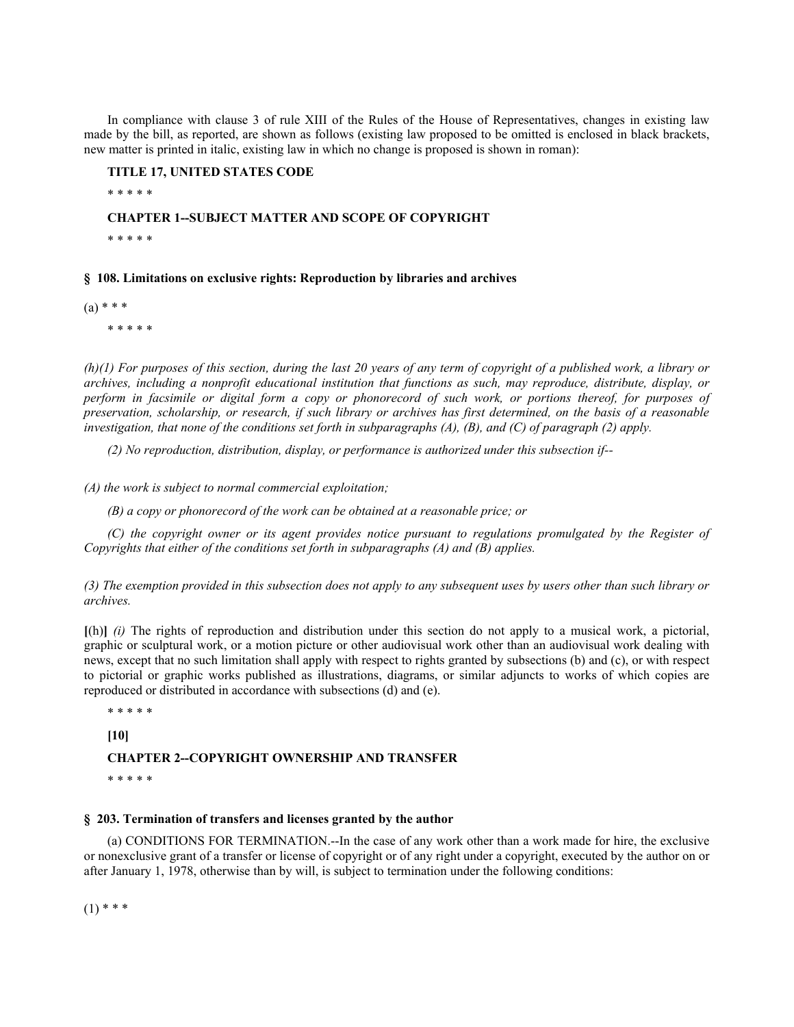In compliance with clause 3 of rule XIII of the Rules of the House of Representatives, changes in existing law made by the bill, as reported, are shown as follows (existing law proposed to be omitted is enclosed in black brackets, new matter is printed in italic, existing law in which no change is proposed is shown in roman):

### **TITLE 17, UNITED STATES CODE**

\* \* \* \* \*

# **CHAPTER 1--SUBJECT MATTER AND SCOPE OF COPYRIGHT**

\* \* \* \* \*

# **§ 108. Limitations on exclusive rights: Reproduction by libraries and archives**

 $(a) * * *$ 

\* \* \* \* \*

*(h)(1) For purposes of this section, during the last 20 years of any term of copyright of a published work, a library or archives, including a nonprofit educational institution that functions as such, may reproduce, distribute, display, or perform in facsimile or digital form a copy or phonorecord of such work, or portions thereof, for purposes of preservation, scholarship, or research, if such library or archives has first determined, on the basis of a reasonable investigation, that none of the conditions set forth in subparagraphs (A), (B), and (C) of paragraph (2) apply.*

*(2) No reproduction, distribution, display, or performance is authorized under this subsection if--*

*(A) the work is subject to normal commercial exploitation;*

*(B) a copy or phonorecord of the work can be obtained at a reasonable price; or*

*(C) the copyright owner or its agent provides notice pursuant to regulations promulgated by the Register of Copyrights that either of the conditions set forth in subparagraphs (A) and (B) applies.*

*(3) The exemption provided in this subsection does not apply to any subsequent uses by users other than such library or archives.*

**[**(h)**]** *(i)* The rights of reproduction and distribution under this section do not apply to a musical work, a pictorial, graphic or sculptural work, or a motion picture or other audiovisual work other than an audiovisual work dealing with news, except that no such limitation shall apply with respect to rights granted by subsections (b) and (c), or with respect to pictorial or graphic works published as illustrations, diagrams, or similar adjuncts to works of which copies are reproduced or distributed in accordance with subsections (d) and (e).

\* \* \* \* \*

**[10]**

# **CHAPTER 2--COPYRIGHT OWNERSHIP AND TRANSFER**

\* \* \* \* \*

### **§ 203. Termination of transfers and licenses granted by the author**

(a) CONDITIONS FOR TERMINATION.--In the case of any work other than a work made for hire, the exclusive or nonexclusive grant of a transfer or license of copyright or of any right under a copyright, executed by the author on or after January 1, 1978, otherwise than by will, is subject to termination under the following conditions:

 $(1)$  \* \* \*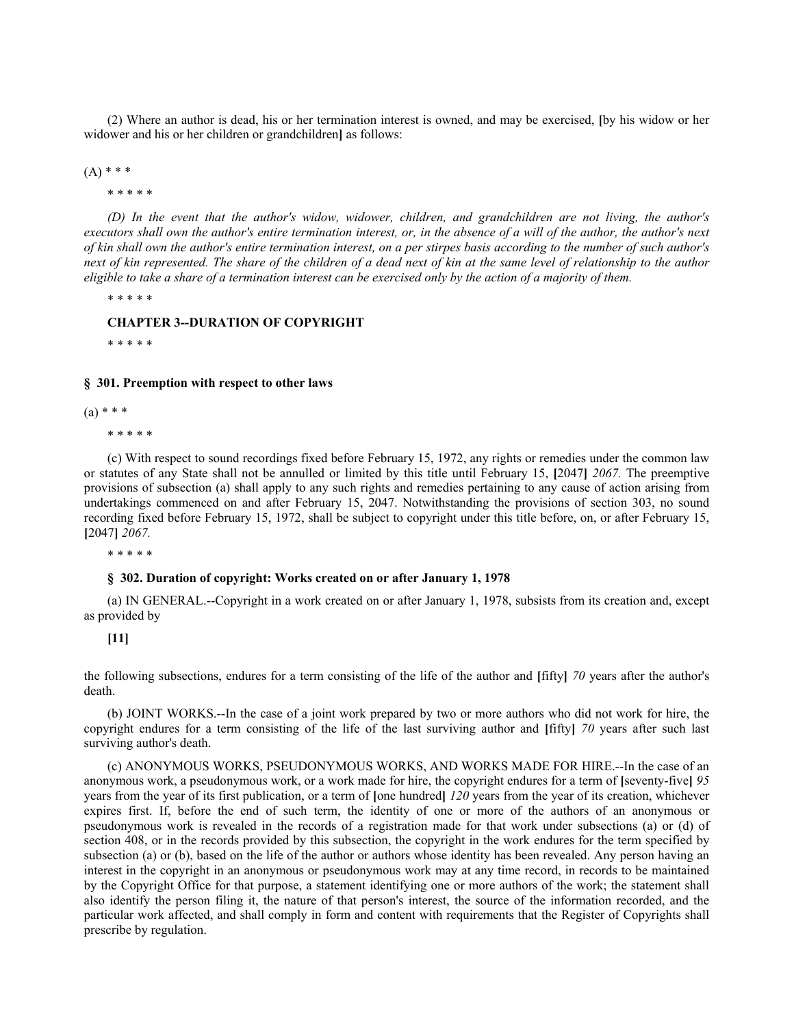(2) Where an author is dead, his or her termination interest is owned, and may be exercised, **[**by his widow or her widower and his or her children or grandchildren**]** as follows:

 $(A)$  \* \* \*

\* \* \* \* \*

*(D) In the event that the author's widow, widower, children, and grandchildren are not living, the author's executors shall own the author's entire termination interest, or, in the absence of a will of the author, the author's next of kin shall own the author's entire termination interest, on a per stirpes basis according to the number of such author's next of kin represented. The share of the children of a dead next of kin at the same level of relationship to the author eligible to take a share of a termination interest can be exercised only by the action of a majority of them.*

\* \* \* \* \*

### **CHAPTER 3--DURATION OF COPYRIGHT**

\* \* \* \* \*

#### **§ 301. Preemption with respect to other laws**

 $(a) * * *$ 

\* \* \* \* \*

(c) With respect to sound recordings fixed before February 15, 1972, any rights or remedies under the common law or statutes of any State shall not be annulled or limited by this title until February 15, **[**2047**]** *2067.* The preemptive provisions of subsection (a) shall apply to any such rights and remedies pertaining to any cause of action arising from undertakings commenced on and after February 15, 2047. Notwithstanding the provisions of section 303, no sound recording fixed before February 15, 1972, shall be subject to copyright under this title before, on, or after February 15, **[**2047**]** *2067.*

\* \* \* \* \*

### **§ 302. Duration of copyright: Works created on or after January 1, 1978**

(a) IN GENERAL.--Copyright in a work created on or after January 1, 1978, subsists from its creation and, except as provided by

**[11]**

the following subsections, endures for a term consisting of the life of the author and **[**fifty**]** *70* years after the author's death.

(b) JOINT WORKS.--In the case of a joint work prepared by two or more authors who did not work for hire, the copyright endures for a term consisting of the life of the last surviving author and **[**fifty**]** *70* years after such last surviving author's death.

(c) ANONYMOUS WORKS, PSEUDONYMOUS WORKS, AND WORKS MADE FOR HIRE.--In the case of an anonymous work, a pseudonymous work, or a work made for hire, the copyright endures for a term of **[**seventy-five**]** *95* years from the year of its first publication, or a term of **[**one hundred**]** *120* years from the year of its creation, whichever expires first. If, before the end of such term, the identity of one or more of the authors of an anonymous or pseudonymous work is revealed in the records of a registration made for that work under subsections (a) or (d) of section 408, or in the records provided by this subsection, the copyright in the work endures for the term specified by subsection (a) or (b), based on the life of the author or authors whose identity has been revealed. Any person having an interest in the copyright in an anonymous or pseudonymous work may at any time record, in records to be maintained by the Copyright Office for that purpose, a statement identifying one or more authors of the work; the statement shall also identify the person filing it, the nature of that person's interest, the source of the information recorded, and the particular work affected, and shall comply in form and content with requirements that the Register of Copyrights shall prescribe by regulation.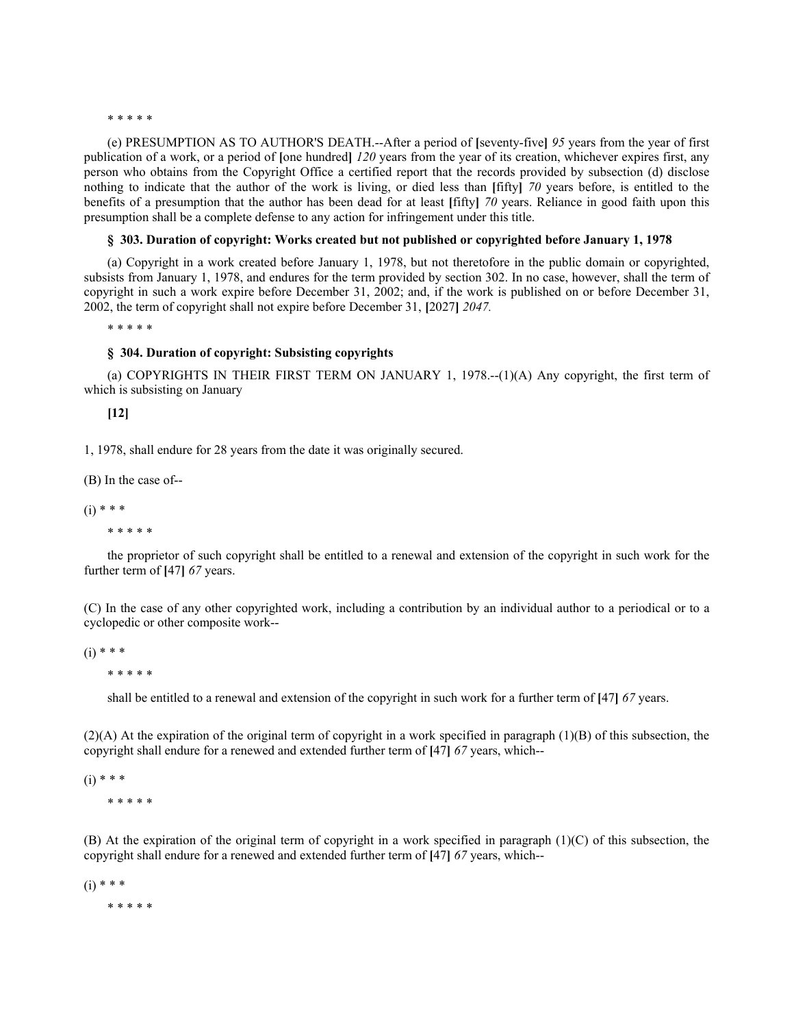#### \* \* \* \* \*

(e) PRESUMPTION AS TO AUTHOR'S DEATH.--After a period of **[**seventy-five**]** *95* years from the year of first publication of a work, or a period of **[**one hundred**]** *120* years from the year of its creation, whichever expires first, any person who obtains from the Copyright Office a certified report that the records provided by subsection (d) disclose nothing to indicate that the author of the work is living, or died less than **[**fifty**]** *70* years before, is entitled to the benefits of a presumption that the author has been dead for at least **[**fifty**]** *70* years. Reliance in good faith upon this presumption shall be a complete defense to any action for infringement under this title.

### **§ 303. Duration of copyright: Works created but not published or copyrighted before January 1, 1978**

(a) Copyright in a work created before January 1, 1978, but not theretofore in the public domain or copyrighted, subsists from January 1, 1978, and endures for the term provided by section 302. In no case, however, shall the term of copyright in such a work expire before December 31, 2002; and, if the work is published on or before December 31, 2002, the term of copyright shall not expire before December 31, **[**2027**]** *2047.*

\* \* \* \* \*

### **§ 304. Duration of copyright: Subsisting copyrights**

(a) COPYRIGHTS IN THEIR FIRST TERM ON JANUARY 1, 1978.--(1)(A) Any copyright, the first term of which is subsisting on January

**[12]**

1, 1978, shall endure for 28 years from the date it was originally secured.

(B) In the case of--

 $(i)$  \* \* \*

\* \* \* \* \*

the proprietor of such copyright shall be entitled to a renewal and extension of the copyright in such work for the further term of **[**47**]** *67* years.

(C) In the case of any other copyrighted work, including a contribution by an individual author to a periodical or to a cyclopedic or other composite work--

 $(i) * * *$ 

\* \* \* \* \*

shall be entitled to a renewal and extension of the copyright in such work for a further term of **[**47**]** *67* years.

 $(2)$ (A) At the expiration of the original term of copyright in a work specified in paragraph (1)(B) of this subsection, the copyright shall endure for a renewed and extended further term of **[**47**]** *67* years, which--

 $(i) * * * *$ \* \* \* \* \*

(B) At the expiration of the original term of copyright in a work specified in paragraph (1)(C) of this subsection, the copyright shall endure for a renewed and extended further term of **[**47**]** *67* years, which--

 $(i) * * *$ 

\* \* \* \* \*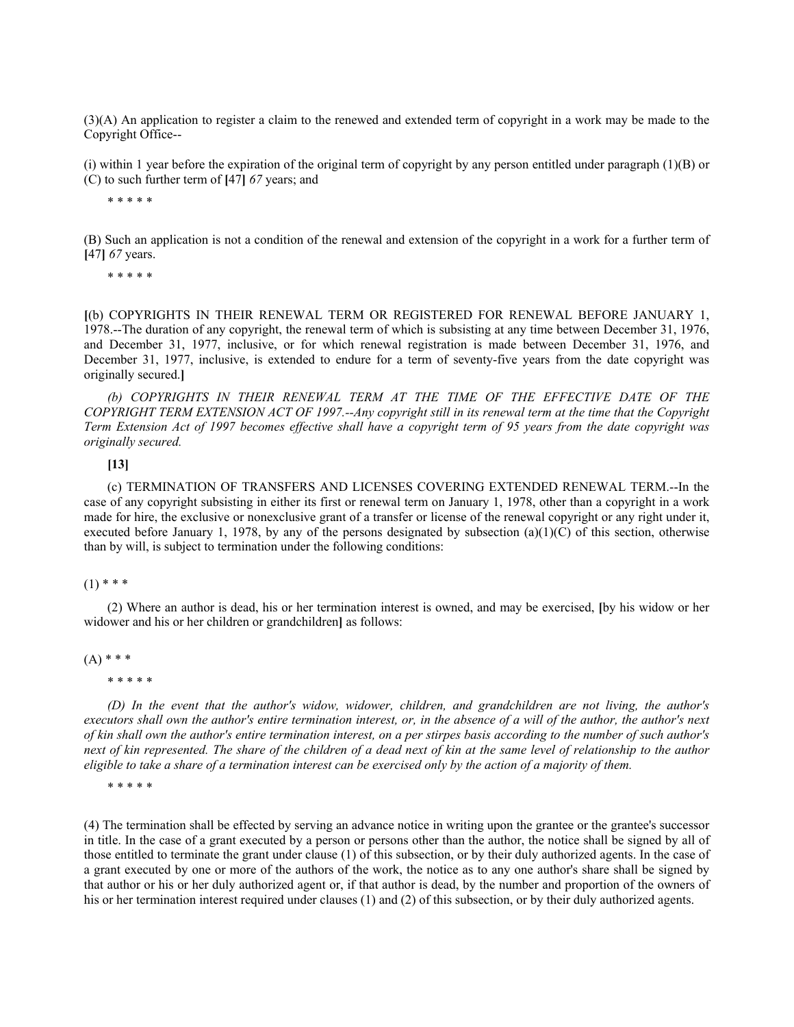(3)(A) An application to register a claim to the renewed and extended term of copyright in a work may be made to the Copyright Office--

(i) within 1 year before the expiration of the original term of copyright by any person entitled under paragraph (1)(B) or (C) to such further term of **[**47**]** *67* years; and

\* \* \* \* \*

(B) Such an application is not a condition of the renewal and extension of the copyright in a work for a further term of **[**47**]** *67* years.

\* \* \* \* \*

**[**(b) COPYRIGHTS IN THEIR RENEWAL TERM OR REGISTERED FOR RENEWAL BEFORE JANUARY 1, 1978.--The duration of any copyright, the renewal term of which is subsisting at any time between December 31, 1976, and December 31, 1977, inclusive, or for which renewal registration is made between December 31, 1976, and December 31, 1977, inclusive, is extended to endure for a term of seventy-five years from the date copyright was originally secured.**]**

*(b) COPYRIGHTS IN THEIR RENEWAL TERM AT THE TIME OF THE EFFECTIVE DATE OF THE COPYRIGHT TERM EXTENSION ACT OF 1997.--Any copyright still in its renewal term at the time that the Copyright Term Extension Act of 1997 becomes effective shall have a copyright term of 95 years from the date copyright was originally secured.*

**[13]**

(c) TERMINATION OF TRANSFERS AND LICENSES COVERING EXTENDED RENEWAL TERM.--In the case of any copyright subsisting in either its first or renewal term on January 1, 1978, other than a copyright in a work made for hire, the exclusive or nonexclusive grant of a transfer or license of the renewal copyright or any right under it, executed before January 1, 1978, by any of the persons designated by subsection (a)(1)(C) of this section, otherwise than by will, is subject to termination under the following conditions:

# $(1)$  \* \* \*

(2) Where an author is dead, his or her termination interest is owned, and may be exercised, **[**by his widow or her widower and his or her children or grandchildren**]** as follows:

## $(A)$  \* \* \*

\* \* \* \* \*

*(D) In the event that the author's widow, widower, children, and grandchildren are not living, the author's executors shall own the author's entire termination interest, or, in the absence of a will of the author, the author's next of kin shall own the author's entire termination interest, on a per stirpes basis according to the number of such author's next of kin represented. The share of the children of a dead next of kin at the same level of relationship to the author eligible to take a share of a termination interest can be exercised only by the action of a majority of them.*

\* \* \* \* \*

(4) The termination shall be effected by serving an advance notice in writing upon the grantee or the grantee's successor in title. In the case of a grant executed by a person or persons other than the author, the notice shall be signed by all of those entitled to terminate the grant under clause (1) of this subsection, or by their duly authorized agents. In the case of a grant executed by one or more of the authors of the work, the notice as to any one author's share shall be signed by that author or his or her duly authorized agent or, if that author is dead, by the number and proportion of the owners of his or her termination interest required under clauses (1) and (2) of this subsection, or by their duly authorized agents.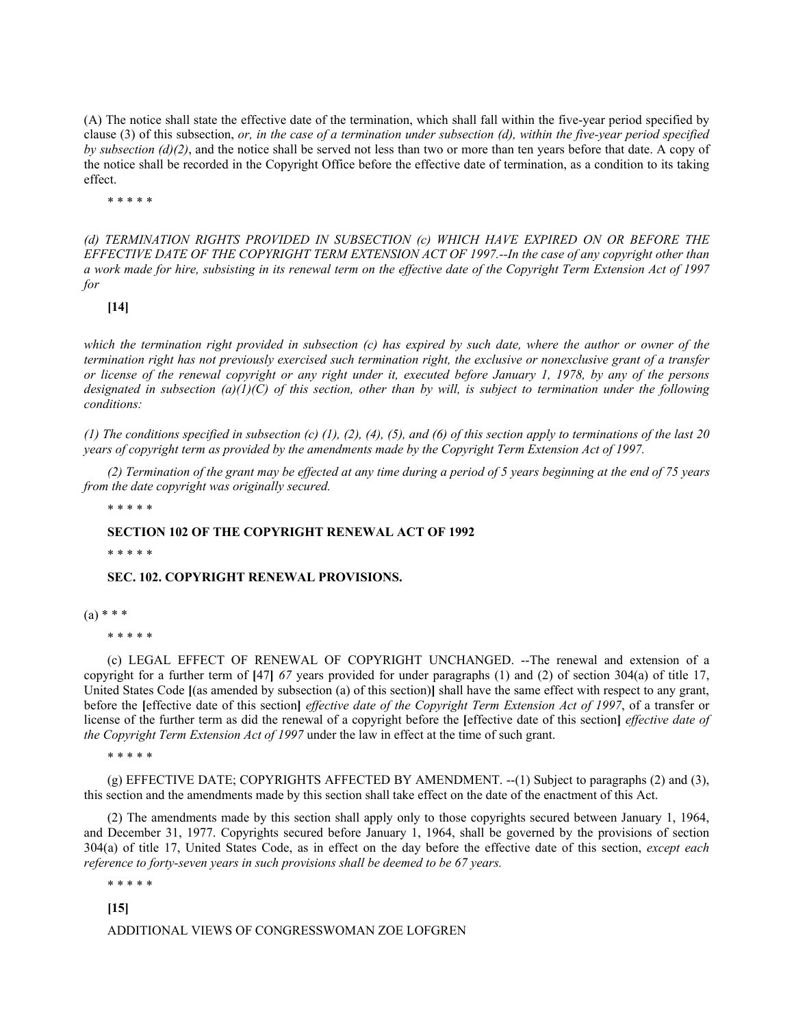(A) The notice shall state the effective date of the termination, which shall fall within the five-year period specified by clause (3) of this subsection, *or, in the case of a termination under subsection (d), within the five-year period specified by subsection (d)(2)*, and the notice shall be served not less than two or more than ten years before that date. A copy of the notice shall be recorded in the Copyright Office before the effective date of termination, as a condition to its taking effect.

\* \* \* \* \*

*(d) TERMINATION RIGHTS PROVIDED IN SUBSECTION (c) WHICH HAVE EXPIRED ON OR BEFORE THE EFFECTIVE DATE OF THE COPYRIGHT TERM EXTENSION ACT OF 1997.--In the case of any copyright other than a work made for hire, subsisting in its renewal term on the effective date of the Copyright Term Extension Act of 1997 for*

**[14]**

*which the termination right provided in subsection (c) has expired by such date, where the author or owner of the termination right has not previously exercised such termination right, the exclusive or nonexclusive grant of a transfer or license of the renewal copyright or any right under it, executed before January 1, 1978, by any of the persons designated in subsection (a)(1)(C) of this section, other than by will, is subject to termination under the following conditions:*

*(1) The conditions specified in subsection (c) (1), (2), (4), (5), and (6) of this section apply to terminations of the last 20 years of copyright term as provided by the amendments made by the Copyright Term Extension Act of 1997.*

*(2) Termination of the grant may be effected at any time during a period of 5 years beginning at the end of 75 years from the date copyright was originally secured.*

\* \* \* \* \*

### **SECTION 102 OF THE COPYRIGHT RENEWAL ACT OF 1992**

\* \* \* \* \*

# **SEC. 102. COPYRIGHT RENEWAL PROVISIONS.**

 $(a) * * *$ 

\* \* \* \* \*

(c) LEGAL EFFECT OF RENEWAL OF COPYRIGHT UNCHANGED. --The renewal and extension of a copyright for a further term of **[**47**]** *67* years provided for under paragraphs (1) and (2) of section 304(a) of title 17, United States Code **[**(as amended by subsection (a) of this section)**]** shall have the same effect with respect to any grant, before the **[**effective date of this section**]** *effective date of the Copyright Term Extension Act of 1997*, of a transfer or license of the further term as did the renewal of a copyright before the **[**effective date of this section**]** *effective date of the Copyright Term Extension Act of 1997* under the law in effect at the time of such grant.

\* \* \* \* \*

(g) EFFECTIVE DATE; COPYRIGHTS AFFECTED BY AMENDMENT. --(1) Subject to paragraphs (2) and (3), this section and the amendments made by this section shall take effect on the date of the enactment of this Act.

(2) The amendments made by this section shall apply only to those copyrights secured between January 1, 1964, and December 31, 1977. Copyrights secured before January 1, 1964, shall be governed by the provisions of section 304(a) of title 17, United States Code, as in effect on the day before the effective date of this section, *except each reference to forty-seven years in such provisions shall be deemed to be 67 years.*

\* \* \* \* \*

**[15]**

ADDITIONAL VIEWS OF CONGRESSWOMAN ZOE LOFGREN